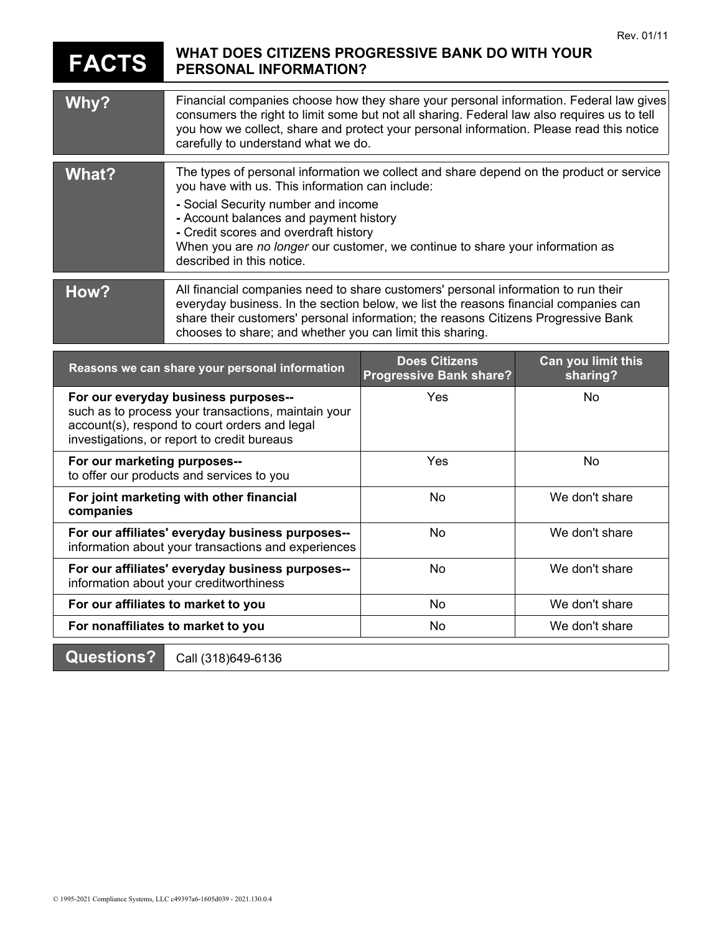## **FACTS WHAT DOES CITIZENS PROGRESSIVE BANK DO WITH YOUR PERSONAL INFORMATION?**

| Why?                                                                                                                                                                                        | Financial companies choose how they share your personal information. Federal law gives<br>consumers the right to limit some but not all sharing. Federal law also requires us to tell<br>you how we collect, share and protect your personal information. Please read this notice<br>carefully to understand what we do.                                                           |                                                        |                                |
|---------------------------------------------------------------------------------------------------------------------------------------------------------------------------------------------|------------------------------------------------------------------------------------------------------------------------------------------------------------------------------------------------------------------------------------------------------------------------------------------------------------------------------------------------------------------------------------|--------------------------------------------------------|--------------------------------|
| What?                                                                                                                                                                                       | The types of personal information we collect and share depend on the product or service<br>you have with us. This information can include:<br>- Social Security number and income<br>- Account balances and payment history<br>- Credit scores and overdraft history<br>When you are no longer our customer, we continue to share your information as<br>described in this notice. |                                                        |                                |
| How?                                                                                                                                                                                        | All financial companies need to share customers' personal information to run their<br>everyday business. In the section below, we list the reasons financial companies can<br>share their customers' personal information; the reasons Citizens Progressive Bank<br>chooses to share; and whether you can limit this sharing.                                                      |                                                        |                                |
| Reasons we can share your personal information                                                                                                                                              |                                                                                                                                                                                                                                                                                                                                                                                    | <b>Does Citizens</b><br><b>Progressive Bank share?</b> | Can you limit this<br>sharing? |
| For our everyday business purposes--<br>such as to process your transactions, maintain your<br>account(s), respond to court orders and legal<br>investigations, or report to credit bureaus |                                                                                                                                                                                                                                                                                                                                                                                    | Yes                                                    | <b>No</b>                      |
| For our marketing purposes--<br>to offer our products and services to you                                                                                                                   |                                                                                                                                                                                                                                                                                                                                                                                    | Yes                                                    | <b>No</b>                      |
| For joint marketing with other financial<br>companies                                                                                                                                       |                                                                                                                                                                                                                                                                                                                                                                                    | No                                                     | We don't share                 |
| For our affiliates' everyday business purposes--<br>information about your transactions and experiences                                                                                     |                                                                                                                                                                                                                                                                                                                                                                                    | No                                                     | We don't share                 |
| For our affiliates' everyday business purposes--<br>information about your creditworthiness                                                                                                 |                                                                                                                                                                                                                                                                                                                                                                                    | <b>No</b>                                              | We don't share                 |
| For our affiliates to market to you                                                                                                                                                         |                                                                                                                                                                                                                                                                                                                                                                                    | <b>No</b>                                              | We don't share                 |
| For nonaffiliates to market to you                                                                                                                                                          |                                                                                                                                                                                                                                                                                                                                                                                    | No                                                     | We don't share                 |
| <b>Questions?</b><br>Call (318)649-6136                                                                                                                                                     |                                                                                                                                                                                                                                                                                                                                                                                    |                                                        |                                |